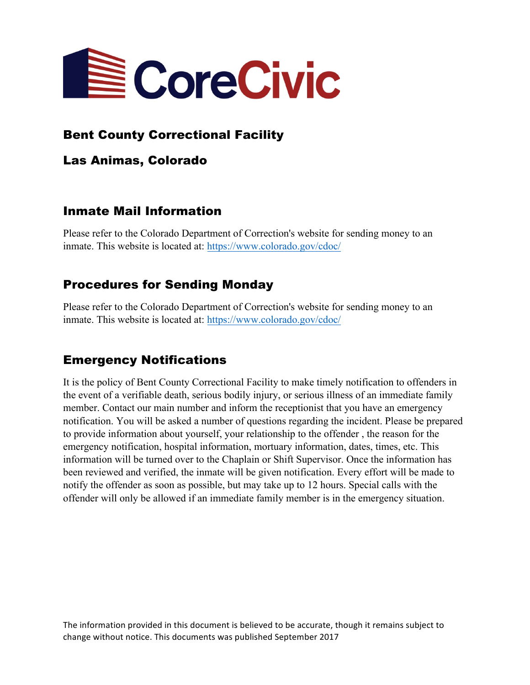

## Bent County Correctional Facility

Las Animas, Colorado

## Inmate Mail Information

Please refer to the Colorado Department of Correction's website for sending money to an inmate. This website is located at: https://www.colorado.gov/cdoc/

# Procedures for Sending Monday

Please refer to the Colorado Department of Correction's website for sending money to an inmate. This website is located at: https://www.colorado.gov/cdoc/

# Emergency Notifications

It is the policy of Bent County Correctional Facility to make timely notification to offenders in the event of a verifiable death, serious bodily injury, or serious illness of an immediate family member. Contact our main number and inform the receptionist that you have an emergency notification. You will be asked a number of questions regarding the incident. Please be prepared to provide information about yourself, your relationship to the offender , the reason for the emergency notification, hospital information, mortuary information, dates, times, etc. This information will be turned over to the Chaplain or Shift Supervisor. Once the information has been reviewed and verified, the inmate will be given notification. Every effort will be made to notify the offender as soon as possible, but may take up to 12 hours. Special calls with the offender will only be allowed if an immediate family member is in the emergency situation.

The information provided in this document is believed to be accurate, though it remains subject to change without notice. This documents was published September 2017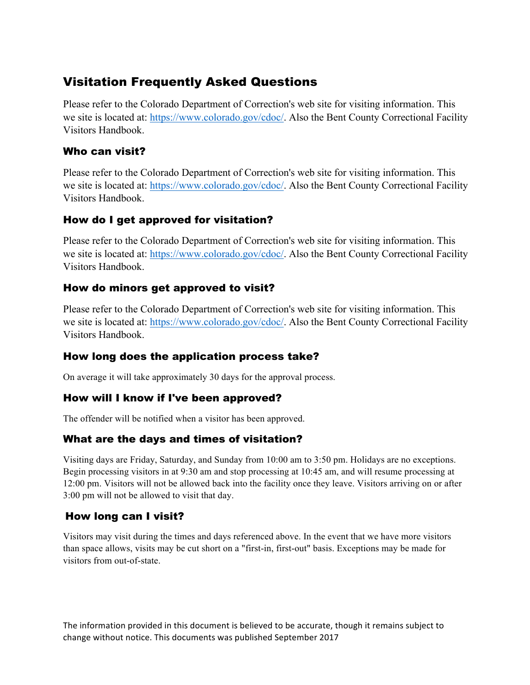# Visitation Frequently Asked Questions

Please refer to the Colorado Department of Correction's web site for visiting information. This we site is located at: https://www.colorado.gov/cdoc/. Also the Bent County Correctional Facility Visitors Handbook.

#### Who can visit?

Please refer to the Colorado Department of Correction's web site for visiting information. This we site is located at: https://www.colorado.gov/cdoc/. Also the Bent County Correctional Facility Visitors Handbook.

## How do I get approved for visitation?

Please refer to the Colorado Department of Correction's web site for visiting information. This we site is located at: https://www.colorado.gov/cdoc/. Also the Bent County Correctional Facility Visitors Handbook.

## How do minors get approved to visit?

Please refer to the Colorado Department of Correction's web site for visiting information. This we site is located at: https://www.colorado.gov/cdoc/. Also the Bent County Correctional Facility Visitors Handbook.

## How long does the application process take?

On average it will take approximately 30 days for the approval process.

#### How will I know if I've been approved?

The offender will be notified when a visitor has been approved.

## What are the days and times of visitation?

Visiting days are Friday, Saturday, and Sunday from 10:00 am to 3:50 pm. Holidays are no exceptions. Begin processing visitors in at 9:30 am and stop processing at 10:45 am, and will resume processing at 12:00 pm. Visitors will not be allowed back into the facility once they leave. Visitors arriving on or after 3:00 pm will not be allowed to visit that day.

## How long can I visit?

Visitors may visit during the times and days referenced above. In the event that we have more visitors than space allows, visits may be cut short on a "first-in, first-out" basis. Exceptions may be made for visitors from out-of-state.

The information provided in this document is believed to be accurate, though it remains subject to change without notice. This documents was published September 2017